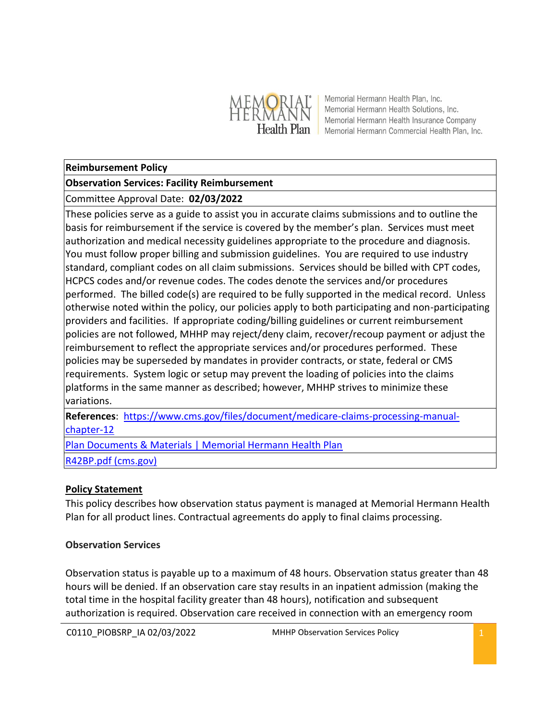

Memorial Hermann Health Plan, Inc. Memorial Hermann Health Solutions, Inc. Memorial Hermann Health Insurance Company Health Plan Memorial Hermann Commercial Health Plan, Inc.

#### **Reimbursement Policy**

#### **Observation Services: Facility Reimbursement**

# Committee Approval Date: **02/03/2022**

These policies serve as a guide to assist you in accurate claims submissions and to outline the basis for reimbursement if the service is covered by the member's plan. Services must meet authorization and medical necessity guidelines appropriate to the procedure and diagnosis. You must follow proper billing and submission guidelines. You are required to use industry standard, compliant codes on all claim submissions. Services should be billed with CPT codes, HCPCS codes and/or revenue codes. The codes denote the services and/or procedures performed. The billed code(s) are required to be fully supported in the medical record. Unless otherwise noted within the policy, our policies apply to both participating and non-participating providers and facilities. If appropriate coding/billing guidelines or current reimbursement policies are not followed, MHHP may reject/deny claim, recover/recoup payment or adjust the reimbursement to reflect the appropriate services and/or procedures performed. These policies may be superseded by mandates in provider contracts, or state, federal or CMS requirements. System logic or setup may prevent the loading of policies into the claims platforms in the same manner as described; however, MHHP strives to minimize these variations.

**References**: [https://www.cms.gov/files/document/medicare-claims-processing-manual](https://www.cms.gov/files/document/medicare-claims-processing-manual-chapter-12)[chapter-12](https://www.cms.gov/files/document/medicare-claims-processing-manual-chapter-12)

[Plan Documents & Materials | Memorial Hermann Health Plan](https://healthplan.memorialhermann.org/medicare-advantage/advantage-hmo-plans/plan-documents-materials)

[R42BP.pdf \(cms.gov\)](https://www.cms.gov/Regulations-and-Guidance/Guidance/Transmittals/Downloads/R42BP.pdf)

## **Policy Statement**

This policy describes how observation status payment is managed at Memorial Hermann Health Plan for all product lines. Contractual agreements do apply to final claims processing.

## **Observation Services**

Observation status is payable up to a maximum of 48 hours. Observation status greater than 48 hours will be denied. If an observation care stay results in an inpatient admission (making the total time in the hospital facility greater than 48 hours), notification and subsequent authorization is required. Observation care received in connection with an emergency room

C0110\_PIOBSRP\_IA 02/03/2022 MHHP Observation Services Policy 1